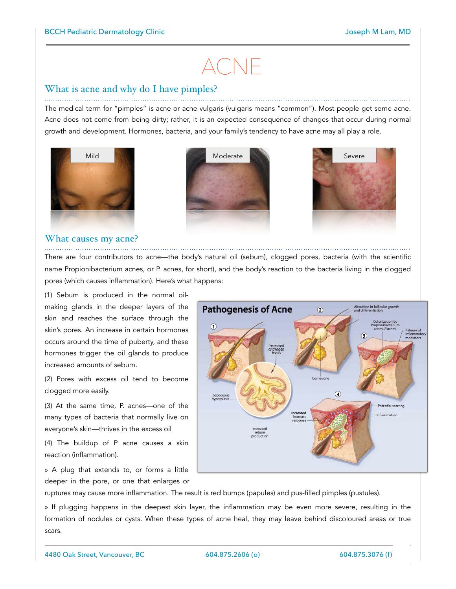# ACNE

## What is acne and why do I have pimples?

The medical term for "pimples" is acne or acne vulgaris (vulgaris means "common"). Most people get some acne. Acne does not come from being dirty; rather, it is an expected consequence of changes that occur during normal growth and development. Hormones, bacteria, and your family's tendency to have acne may all play a role.







## What causes my acne?

There are four contributors to acne—the body's natural oil (sebum), clogged pores, bacteria (with the scientific name Propionibacterium acnes, or P. acnes, for short), and the body's reaction to the bacteria living in the clogged pores (which causes inflammation). Here's what happens:

(1) Sebum is produced in the normal oilmaking glands in the deeper layers of the skin and reaches the surface through the skin's pores. An increase in certain hormones occurs around the time of puberty, and these hormones trigger the oil glands to produce increased amounts of sebum.

(2) Pores with excess oil tend to become clogged more easily.

(3) At the same time, P. acnes—one of the many types of bacteria that normally live on everyone's skin—thrives in the excess oil

(4) The buildup of P acne causes a skin reaction (inflammation).

» A plug that extends to, or forms a little deeper in the pore, or one that enlarges or



ruptures may cause more inflammation. The result is red bumps (papules) and pus-filled pimples (pustules).

» If plugging happens in the deepest skin layer, the inflammation may be even more severe, resulting in the formation of nodules or cysts. When these types of acne heal, they may leave behind discoloured areas or true scars.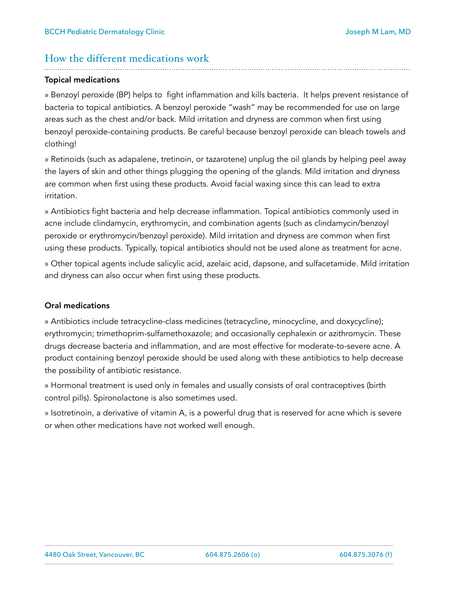## How the different medications work

## Topical medications

» Benzoyl peroxide (BP) helps to fight inflammation and kills bacteria. It helps prevent resistance of bacteria to topical antibiotics. A benzoyl peroxide "wash" may be recommended for use on large areas such as the chest and/or back. Mild irritation and dryness are common when first using benzoyl peroxide-containing products. Be careful because benzoyl peroxide can bleach towels and clothing!

» Retinoids (such as adapalene, tretinoin, or tazarotene) unplug the oil glands by helping peel away the layers of skin and other things plugging the opening of the glands. Mild irritation and dryness are common when first using these products. Avoid facial waxing since this can lead to extra irritation.

» Antibiotics fight bacteria and help decrease inflammation. Topical antibiotics commonly used in acne include clindamycin, erythromycin, and combination agents (such as clindamycin/benzoyl peroxide or erythromycin/benzoyl peroxide). Mild irritation and dryness are common when first using these products. Typically, topical antibiotics should not be used alone as treatment for acne.

» Other topical agents include salicylic acid, azelaic acid, dapsone, and sulfacetamide. Mild irritation and dryness can also occur when first using these products.

## Oral medications

» Antibiotics include tetracycline-class medicines (tetracycline, minocycline, and doxycycline); erythromycin; trimethoprim-sulfamethoxazole; and occasionally cephalexin or azithromycin. These drugs decrease bacteria and inflammation, and are most effective for moderate-to-severe acne. A product containing benzoyl peroxide should be used along with these antibiotics to help decrease the possibility of antibiotic resistance.

» Hormonal treatment is used only in females and usually consists of oral contraceptives (birth control pills). Spironolactone is also sometimes used.

» Isotretinoin, a derivative of vitamin A, is a powerful drug that is reserved for acne which is severe or when other medications have not worked well enough.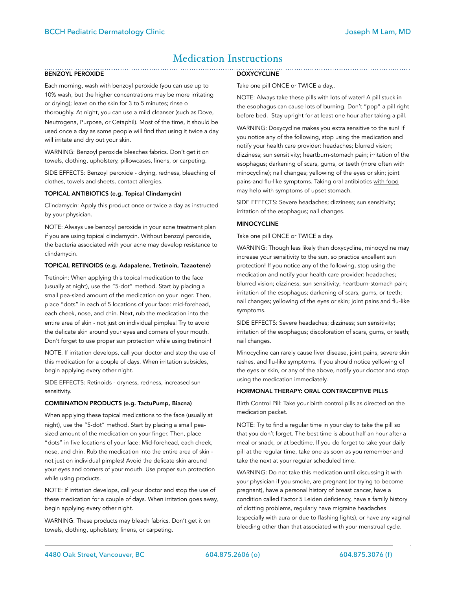# Medication Instructions

### BENZOYL PEROXIDE

Each morning, wash with benzoyl peroxide (you can use up to 10% wash, but the higher concentrations may be more irritating or drying); leave on the skin for 3 to 5 minutes; rinse o thoroughly. At night, you can use a mild cleanser (such as Dove, Neutrogena, Purpose, or Cetaphil). Most of the time, it should be used once a day as some people will find that using it twice a day will irritate and dry out your skin.

WARNING: Benzoyl peroxide bleaches fabrics. Don't get it on towels, clothing, upholstery, pillowcases, linens, or carpeting.

SIDE EFFECTS: Benzoyl peroxide - drying, redness, bleaching of clothes, towels and sheets, contact allergies.

#### TOPICAL ANTIBIOTICS (e.g. Topical Clindamycin)

Clindamycin: Apply this product once or twice a day as instructed by your physician.

NOTE: Always use benzoyl peroxide in your acne treatment plan if you are using topical clindamycin. Without benzoyl peroxide, the bacteria associated with your acne may develop resistance to clindamycin.

#### TOPICAL RETINOIDS (e.g. Adapalene, Tretinoin, Tazaotene)

Tretinoin: When applying this topical medication to the face (usually at night), use the "5-dot" method. Start by placing a small pea-sized amount of the medication on your nger. Then, place "dots" in each of 5 locations of your face: mid-forehead, each cheek, nose, and chin. Next, rub the medication into the entire area of skin - not just on individual pimples! Try to avoid the delicate skin around your eyes and corners of your mouth. Don't forget to use proper sun protection while using tretinoin!

NOTE: If irritation develops, call your doctor and stop the use of this medication for a couple of days. When irritation subsides, begin applying every other night.

SIDE EFFECTS: Retinoids - dryness, redness, increased sun sensitivity.

#### COMBINATION PRODUCTS (e.g. TactuPump, Biacna)

When applying these topical medications to the face (usually at night), use the "5-dot" method. Start by placing a small peasized amount of the medication on your finger. Then, place "dots" in five locations of your face: Mid-forehead, each cheek, nose, and chin. Rub the medication into the entire area of skin not just on individual pimples! Avoid the delicate skin around your eyes and corners of your mouth. Use proper sun protection while using products.

NOTE: If irritation develops, call your doctor and stop the use of these medication for a couple of days. When irritation goes away, begin applying every other night.

WARNING: These products may bleach fabrics. Don't get it on towels, clothing, upholstery, linens, or carpeting.

#### **DOXYCYCLINE**

Take one pill ONCE or TWICE a day,.

NOTE: Always take these pills with lots of water! A pill stuck in the esophagus can cause lots of burning. Don't "pop" a pill right before bed. Stay upright for at least one hour after taking a pill.

WARNING: Doxycycline makes you extra sensitive to the sun! If you notice any of the following, stop using the medication and notify your health care provider: headaches; blurred vision; dizziness; sun sensitivity; heartburn-stomach pain; irritation of the esophagus; darkening of scars, gums, or teeth (more often with minocycline); nail changes; yellowing of the eyes or skin; joint pains-and flu-like symptoms. Taking oral antibiotics with food may help with symptoms of upset stomach.

SIDE EFFECTS: Severe headaches; dizziness; sun sensitivity; irritation of the esophagus; nail changes.

#### MINOCYCLINE

#### Take one pill ONCE or TWICE a day.

WARNING: Though less likely than doxycycline, minocycline may increase your sensitivity to the sun, so practice excellent sun protection! If you notice any of the following, stop using the medication and notify your health care provider: headaches; blurred vision; dizziness; sun sensitivity; heartburn-stomach pain; irritation of the esophagus; darkening of scars, gums, or teeth; nail changes; yellowing of the eyes or skin; joint pains and flu-like symptoms.

SIDE EFFECTS: Severe headaches; dizziness; sun sensitivity; irritation of the esophagus; discoloration of scars, gums, or teeth; nail changes.

Minocycline can rarely cause liver disease, joint pains, severe skin rashes, and flu-like symptoms. If you should notice yellowing of the eyes or skin, or any of the above, notify your doctor and stop using the medication immediately.

#### HORMONAL THERAPY: ORAL CONTRACEPTIVE PILLS

Birth Control Pill: Take your birth control pills as directed on the medication packet.

NOTE: Try to find a regular time in your day to take the pill so that you don't forget. The best time is about half an hour after a meal or snack, or at bedtime. If you do forget to take your daily pill at the regular time, take one as soon as you remember and take the next at your regular scheduled time.

WARNING: Do not take this medication until discussing it with your physician if you smoke, are pregnant (or trying to become pregnant), have a personal history of breast cancer, have a condition called Factor 5 Leiden deficiency, have a family history of clotting problems, regularly have migraine headaches (especially with aura or due to flashing lights), or have any vaginal bleeding other than that associated with your menstrual cycle.